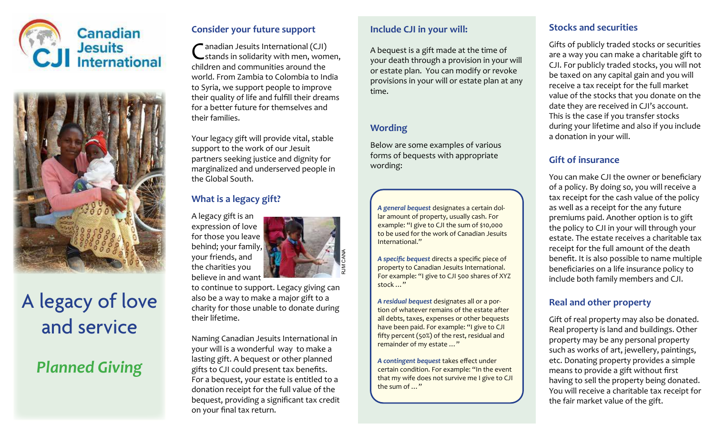



# A legacy of love and service

## *Planned Giving*

### **Consider your future support**

C anadian Jesuits International (CJI) stands in solidarity with men, women, children and communities around the world. From Zambia to Colombia to India to Syria, we support people to improve their quality of life and fulfill their dreams for a better future for themselves and their families.

Your legacy gift will provide vital, stable support to the work of our Jesuit partners seeking justice and dignity for marginalized and underserved people in the Global South.

## **What is a legacy gift?**

A legacy gift is an expression of love for those you leave behind; your family, your friends, and the charities you believe in and want



to continue to support. Legacy giving can also be a way to make a major gift to a charity for those unable to donate during their lifetime.

Naming Canadian Jesuits International in your will is a wonderful way to make a lasting gift. A bequest or other planned gifts to CJI could present tax benefits. For a bequest, your estate is entitled to a donation receipt for the full value of the bequest, providing a significant tax credit on your final tax return.

#### **Include CJI in your will:**

A bequest is a gift made at the time of your death through a provision in your will or estate plan. You can modify or revoke provisions in your will or estate plan at any time.

### **Wording**

Below are some examples of various forms of bequests with appropriate wording:

*A general bequest* designates a certain dollar amount of property, usually cash. For example: "I give to CJI the sum of \$10,000 to be used for the work of Canadian Jesuits International."

*A specific bequest* directs a specific piece of property to Canadian Jesuits International. For example: "I give to CJI 500 shares of XYZ stock …"

*A residual bequest* designates all or a portion of whatever remains of the estate after all debts, taxes, expenses or other bequests have been paid. For example: "I give to CJI fifty percent (50%) of the rest, residual and remainder of my estate …"

*A contingent bequest* takes effect under certain condition. For example: "In the event that my wife does not survive me I give to CJI the sum of …"

## **Stocks and securities**

Gifts of publicly traded stocks or securities are a way you can make a charitable gift to CJI. For publicly traded stocks, you will not be taxed on any capital gain and you will receive a tax receipt for the full market value of the stocks that you donate on the date they are received in CJI's account. This is the case if you transfer stocks during your lifetime and also if you include a donation in your will.

## **Gift of insurance**

You can make CJI the owner or beneficiary of a policy. By doing so, you will receive a tax receipt for the cash value of the policy as well as a receipt for the any future premiums paid. Another option is to gift the policy to CJI in your will through your estate. The estate receives a charitable tax receipt for the full amount of the death benefit. It is also possible to name multiple beneficiaries on a life insurance policy to include both family members and CJI.

## **Real and other property**

Gift of real property may also be donated. Real property is land and buildings. Other property may be any personal property such as works of art, jewellery, paintings, etc. Donating property provides a simple means to provide a gift without first having to sell the property being donated. You will receive a charitable tax receipt for the fair market value of the gift.